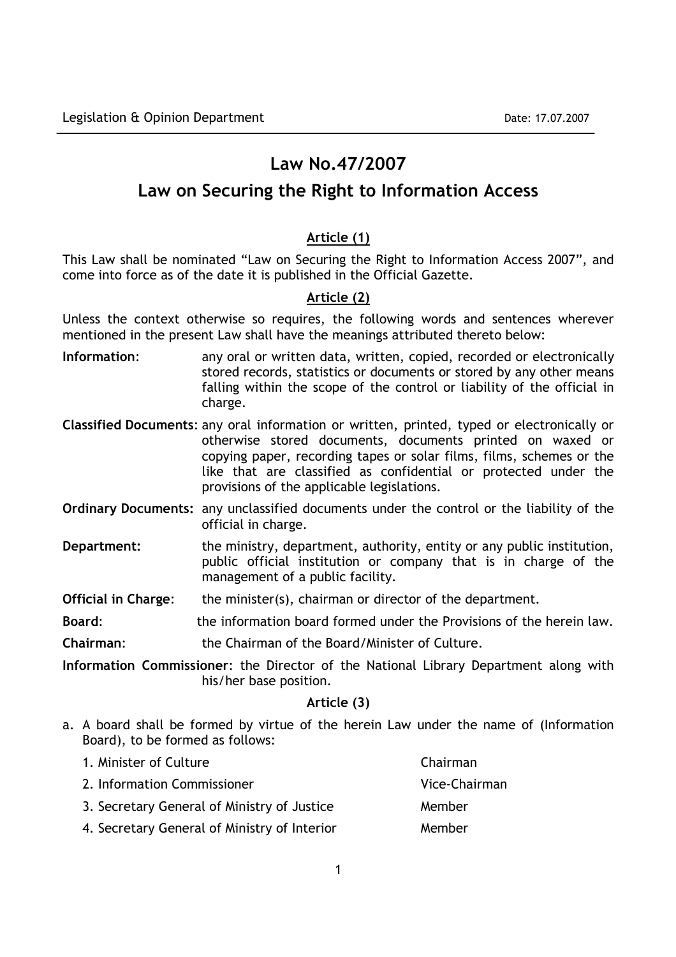# Law No.47/2007

# Law on Securing the Right to Information Access

# Article (1)

This Law shall be nominated "Law on Securing the Right to Information Access 2007", and come into force as of the date it is published in the Official Gazette.

# Article (2)

Unless the context otherwise so requires, the following words and sentences wherever mentioned in the present Law shall have the meanings attributed thereto below:

- Information: any oral or written data, written, copied, recorded or electronically stored records, statistics or documents or stored by any other means falling within the scope of the control or liability of the official in charge.
- Classified Documents: any oral information or written, printed, typed or electronically or otherwise stored documents, documents printed on waxed or copying paper, recording tapes or solar films, films, schemes or the like that are classified as confidential or protected under the provisions of the applicable legislations.
- Ordinary Documents: any unclassified documents under the control or the liability of the official in charge.
- Department: the ministry, department, authority, entity or any public institution, public official institution or company that is in charge of the management of a public facility.

Official in Charge: the minister(s), chairman or director of the department.

Board: the information board formed under the Provisions of the herein law.

Chairman: the Chairman of the Board/Minister of Culture.

Information Commissioner: the Director of the National Library Department along with his/her base position.

# Article (3)

a. A board shall be formed by virtue of the herein Law under the name of (Information Board), to be formed as follows:

| 1. Minister of Culture                       | Chairman      |
|----------------------------------------------|---------------|
| 2. Information Commissioner                  | Vice-Chairman |
| 3. Secretary General of Ministry of Justice  | Member        |
| 4. Secretary General of Ministry of Interior | Member        |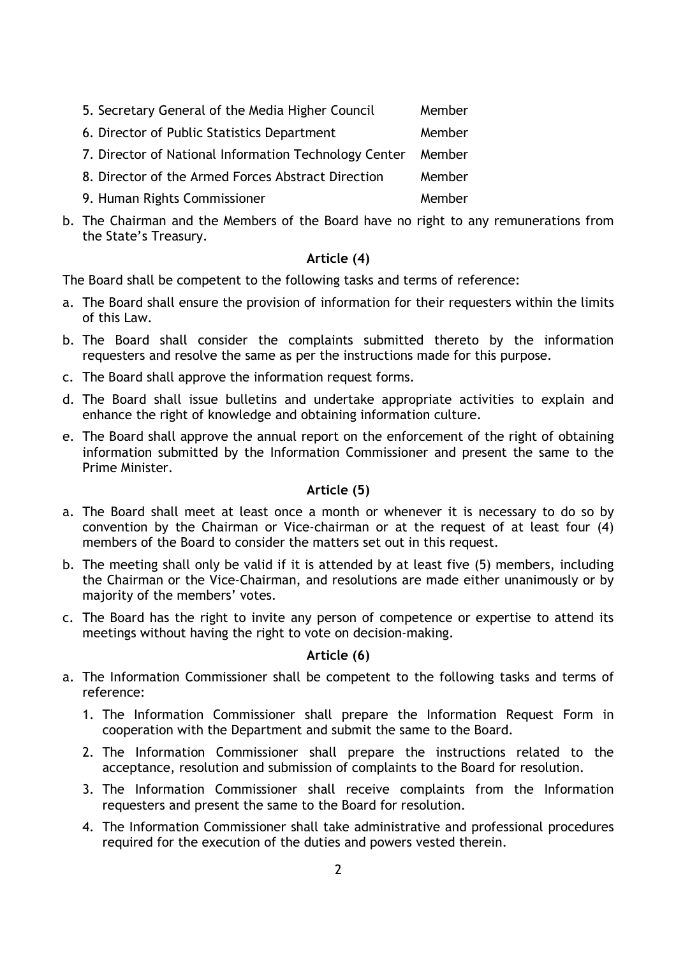- 5. Secretary General of the Media Higher Council Member
- 6. Director of Public Statistics Department Member
- 7. Director of National Information Technology Center Member
- 8. Director of the Armed Forces Abstract Direction Member
- 9. Human Rights Commissioner Member
- b. The Chairman and the Members of the Board have no right to any remunerations from the State's Treasury.

# Article (4)

The Board shall be competent to the following tasks and terms of reference:

- a. The Board shall ensure the provision of information for their requesters within the limits of this Law.
- b. The Board shall consider the complaints submitted thereto by the information requesters and resolve the same as per the instructions made for this purpose.
- c. The Board shall approve the information request forms.
- d. The Board shall issue bulletins and undertake appropriate activities to explain and enhance the right of knowledge and obtaining information culture.
- e. The Board shall approve the annual report on the enforcement of the right of obtaining information submitted by the Information Commissioner and present the same to the Prime Minister.

# Article (5)

- a. The Board shall meet at least once a month or whenever it is necessary to do so by convention by the Chairman or Vice-chairman or at the request of at least four (4) members of the Board to consider the matters set out in this request.
- b. The meeting shall only be valid if it is attended by at least five (5) members, including the Chairman or the Vice-Chairman, and resolutions are made either unanimously or by majority of the members' votes.
- c. The Board has the right to invite any person of competence or expertise to attend its meetings without having the right to vote on decision-making.

### Article (6)

- a. The Information Commissioner shall be competent to the following tasks and terms of reference:
	- 1. The Information Commissioner shall prepare the Information Request Form in cooperation with the Department and submit the same to the Board.
	- 2. The Information Commissioner shall prepare the instructions related to the acceptance, resolution and submission of complaints to the Board for resolution.
	- 3. The Information Commissioner shall receive complaints from the Information requesters and present the same to the Board for resolution.
	- 4. The Information Commissioner shall take administrative and professional procedures required for the execution of the duties and powers vested therein.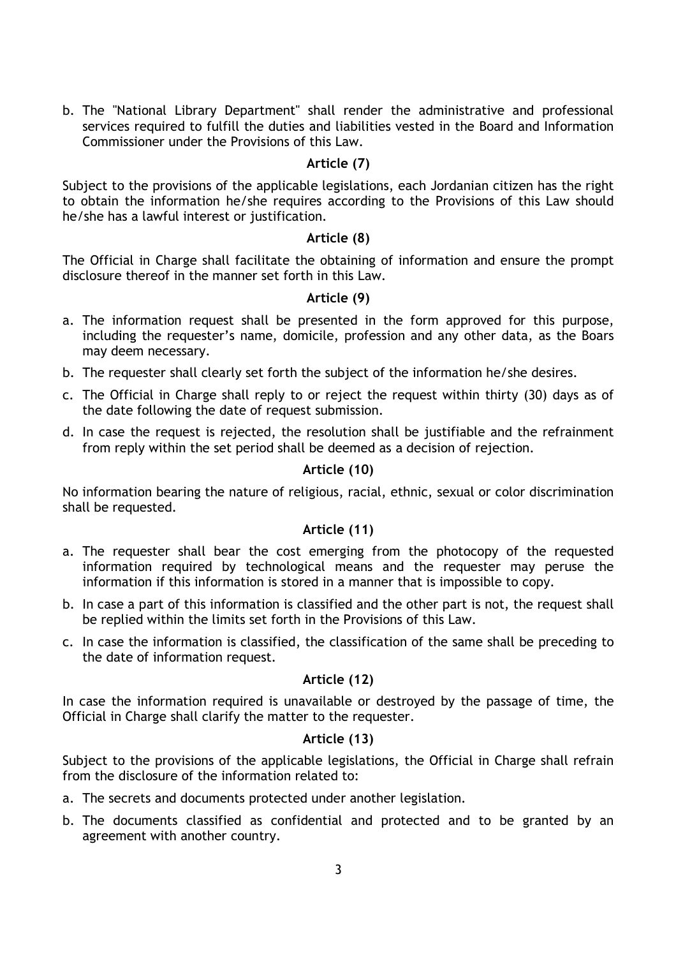b. The "National Library Department" shall render the administrative and professional services required to fulfill the duties and liabilities vested in the Board and Information Commissioner under the Provisions of this Law.

# Article (7)

Subject to the provisions of the applicable legislations, each Jordanian citizen has the right to obtain the information he/she requires according to the Provisions of this Law should he/she has a lawful interest or justification.

## Article (8)

The Official in Charge shall facilitate the obtaining of information and ensure the prompt disclosure thereof in the manner set forth in this Law.

## Article (9)

- a. The information request shall be presented in the form approved for this purpose, including the requester's name, domicile, profession and any other data, as the Boars may deem necessary.
- b. The requester shall clearly set forth the subject of the information he/she desires.
- c. The Official in Charge shall reply to or reject the request within thirty (30) days as of the date following the date of request submission.
- d. In case the request is rejected, the resolution shall be justifiable and the refrainment from reply within the set period shall be deemed as a decision of rejection.

# Article (10)

No information bearing the nature of religious, racial, ethnic, sexual or color discrimination shall be requested.

## Article (11)

- a. The requester shall bear the cost emerging from the photocopy of the requested information required by technological means and the requester may peruse the information if this information is stored in a manner that is impossible to copy.
- b. In case a part of this information is classified and the other part is not, the request shall be replied within the limits set forth in the Provisions of this Law.
- c. In case the information is classified, the classification of the same shall be preceding to the date of information request.

# Article (12)

In case the information required is unavailable or destroyed by the passage of time, the Official in Charge shall clarify the matter to the requester.

## Article (13)

Subject to the provisions of the applicable legislations, the Official in Charge shall refrain from the disclosure of the information related to:

- a. The secrets and documents protected under another legislation.
- b. The documents classified as confidential and protected and to be granted by an agreement with another country.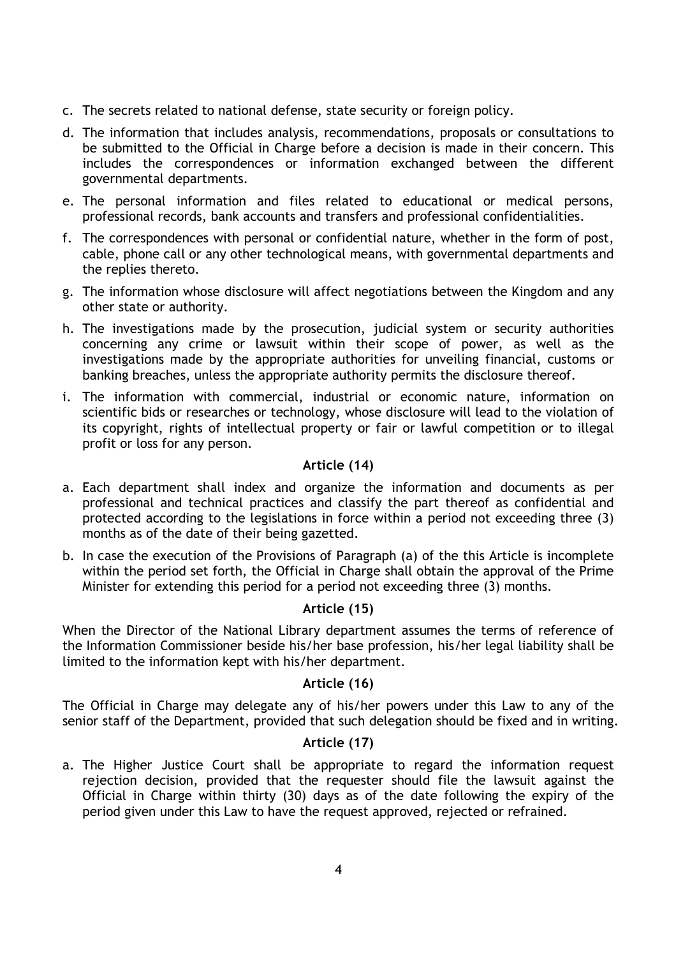- c. The secrets related to national defense, state security or foreign policy.
- d. The information that includes analysis, recommendations, proposals or consultations to be submitted to the Official in Charge before a decision is made in their concern. This includes the correspondences or information exchanged between the different governmental departments.
- e. The personal information and files related to educational or medical persons, professional records, bank accounts and transfers and professional confidentialities.
- f. The correspondences with personal or confidential nature, whether in the form of post, cable, phone call or any other technological means, with governmental departments and the replies thereto.
- g. The information whose disclosure will affect negotiations between the Kingdom and any other state or authority.
- h. The investigations made by the prosecution, judicial system or security authorities concerning any crime or lawsuit within their scope of power, as well as the investigations made by the appropriate authorities for unveiling financial, customs or banking breaches, unless the appropriate authority permits the disclosure thereof.
- i. The information with commercial, industrial or economic nature, information on scientific bids or researches or technology, whose disclosure will lead to the violation of its copyright, rights of intellectual property or fair or lawful competition or to illegal profit or loss for any person.

# Article (14)

- a. Each department shall index and organize the information and documents as per professional and technical practices and classify the part thereof as confidential and protected according to the legislations in force within a period not exceeding three (3) months as of the date of their being gazetted.
- b. In case the execution of the Provisions of Paragraph (a) of the this Article is incomplete within the period set forth, the Official in Charge shall obtain the approval of the Prime Minister for extending this period for a period not exceeding three (3) months.

### Article (15)

When the Director of the National Library department assumes the terms of reference of the Information Commissioner beside his/her base profession, his/her legal liability shall be limited to the information kept with his/her department.

### Article (16)

The Official in Charge may delegate any of his/her powers under this Law to any of the senior staff of the Department, provided that such delegation should be fixed and in writing.

## Article (17)

a. The Higher Justice Court shall be appropriate to regard the information request rejection decision, provided that the requester should file the lawsuit against the Official in Charge within thirty (30) days as of the date following the expiry of the period given under this Law to have the request approved, rejected or refrained.